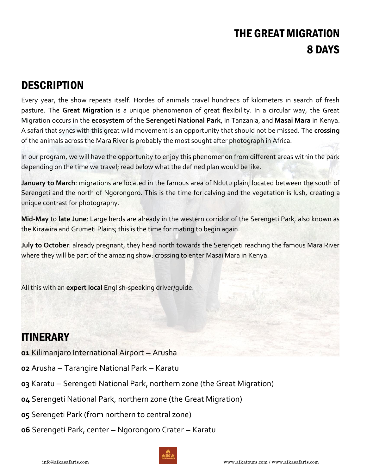# THE GREAT MIGRATION 8 DAYS

## **DESCRIPTION**

Every year, the show repeats itself. Hordes of animals travel hundreds of kilometers in search of fresh pasture. The **Great Migration** is a unique phenomenon of great flexibility. In a circular way, the Great Migration occurs in the **ecosystem** of the **Serengeti National Park**, in Tanzania, and **Masai Mara** in Kenya. A safari that syncs with this great wild movement is an opportunity that should not be missed. The **crossing** of the animals across the Mara River is probably the most sought after photograph in Africa.

In our program, we will have the opportunity to enjoy this phenomenon from different areas within the park depending on the time we travel; read below what the defined plan would be like.

**January to March**: migrations are located in the famous area of Ndutu plain, located between the south of Serengeti and the north of Ngorongoro. This is the time for calving and the vegetation is lush, creating a unique contrast for photography.

**Mid**-**May** to **late June**: Large herds are already in the western corridor of the Serengeti Park, also known as the Kirawira and Grumeti Plains; this is the time for mating to begin again.

**July to October**: already pregnant, they head north towards the Serengeti reaching the famous Mara River where they will be part of the amazing show: crossing to enter Masai Mara in Kenya.

All this with an **expert local** English-speaking driver/guide.

## ITINERARY

- **01** Kilimanjaro International Airport Arusha
- **02** Arusha Tarangire National Park Karatu
- **03** Karatu Serengeti National Park, northern zone (the Great Migration)
- **04** Serengeti National Park, northern zone (the Great Migration)
- **05** Serengeti Park (from northern to central zone)
- **06** Serengeti Park, center Ngorongoro Crater Karatu

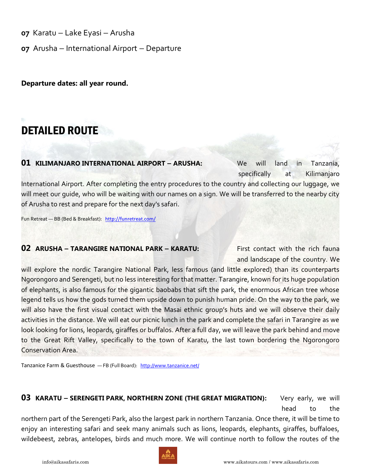**07** Karatu — Lake Eyasi — Arusha

**07** Arusha — International Airport — Departure

**Departure dates: all year round.** 

## DETAILED ROUTE

#### **01 KILIMANJARO INTERNATIONAL AIRPORT — ARUSHA:** We will land in Tanzania,

specifically at Kilimanjaro Specifically at Kilimanjaro

International Airport. After completing the entry procedures to the country and collecting our luggage, we will meet our guide, who will be waiting with our names on a sign. We will be transferred to the nearby city of Arusha to rest and prepare for the next day's safari.

Fun Retreat — BB (Bed & Breakfast): <http://funretreat.com/>

### **02 ARUSHA - TARANGIRE NATIONAL PARK - KARATU: First contact with the rich fauna**

and landscape of the country. We

will explore the nordic Tarangire National Park, less famous (and little explored) than its counterparts Ngorongoro and Serengeti, but no less interesting for that matter. Tarangire, known for its huge population of elephants, is also famous for the gigantic baobabs that sift the park, the enormous African tree whose legend tells us how the gods turned them upside down to punish human pride. On the way to the park, we will also have the first visual contact with the Masai ethnic group's huts and we will observe their daily activities in the distance. We will eat our picnic lunch in the park and complete the safari in Tarangire as we look looking for lions, leopards, giraffes or buffalos. After a full day, we will leave the park behind and move to the Great Rift Valley, specifically to the town of Karatu, the last town bordering the Ngorongoro Conservation Area.

Tanzanice Farm & Guesthouse - FB (Full Board): <http://www.tanzanice.net/>

### **03 KARATU – SERENGETI PARK, NORTHERN ZONE (THE GREAT MIGRATION):** Very early, we will head to the state of the state of the state of the state of the state of the state of the state of the state o

northern part of the Serengeti Park, also the largest park in northern Tanzania. Once there, it will be time to enjoy an interesting safari and seek many animals such as lions, leopards, elephants, giraffes, buffaloes, wildebeest, zebras, antelopes, birds and much more. We will continue north to follow the routes of the

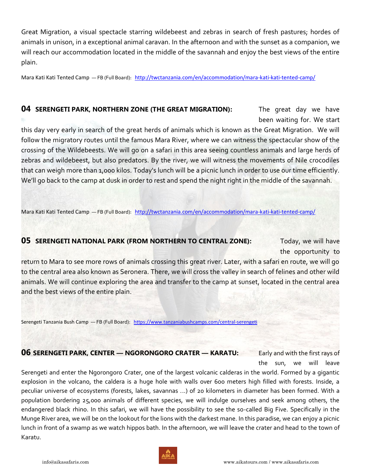Great Migration, a visual spectacle starring wildebeest and zebras in search of fresh pastures; hordes of animals in unison, in a exceptional animal caravan. In the afternoon and with the sunset as a companion, we will reach our accommodation located in the middle of the savannah and enjoy the best views of the entire plain.

Mara Kati Kati Tented Camp — FB (Full Board): <http://twctanzania.com/en/accommodation/mara-kati-kati-tented-camp/>

#### **04 SERENGETI PARK, NORTHERN ZONE (THE GREAT MIGRATION):** The great day we have

been waiting for. We start

this day very early in search of the great herds of animals which is known as the Great Migration. We will follow the migratory routes until the famous Mara River, where we can witness the spectacular show of the crossing of the Wildebeests. We will go on a safari in this area seeing countless animals and large herds of zebras and wildebeest, but also predators. By the river, we will witness the movements of Nile crocodiles that can weigh more than 1,000 kilos. Today's lunch will be a picnic lunch in order to use our time efficiently. We'll go back to the camp at dusk in order to rest and spend the night right in the middle of the savannah.

Mara Kati Kati Tented Camp — FB (Full Board): <http://twctanzania.com/en/accommodation/mara-kati-kati-tented-camp/>

#### **05 SERENGETI NATIONAL PARK (FROM NORTHERN TO CENTRAL ZONE):** Today, we will have

the opportunity to

return to Mara to see more rows of animals crossing this great river. Later, with a safari en route, we will go to the central area also known as Seronera. There, we will cross the valley in search of felines and other wild animals. We will continue exploring the area and transfer to the camp at sunset, located in the central area and the best views of the entire plain.

Serengeti Tanzania Bush Camp — FB (Full Board): <https://www.tanzaniabushcamps.com/central-serengeti>

### **06 SERENGETI PARK, CENTER — NGORONGORO CRATER — KARATU:** Early and with the first rays of

the sun, we will leave

Serengeti and enter the Ngorongoro Crater, one of the largest volcanic calderas in the world. Formed by a gigantic explosion in the volcano, the caldera is a huge hole with walls over 600 meters high filled with forests. Inside, a peculiar universe of ecosystems (forests, lakes, savannas ...) of 20 kilometers in diameter has been formed. With a population bordering 25,000 animals of different species, we will indulge ourselves and seek among others, the endangered black rhino. In this safari, we will have the possibility to see the so-called Big Five. Specifically in the Munge River area, we will be on the lookout for the lions with the darkest mane. In this paradise, we can enjoy a picnic lunch in front of a swamp as we watch hippos bath. In the afternoon, we will leave the crater and head to the town of Karatu.

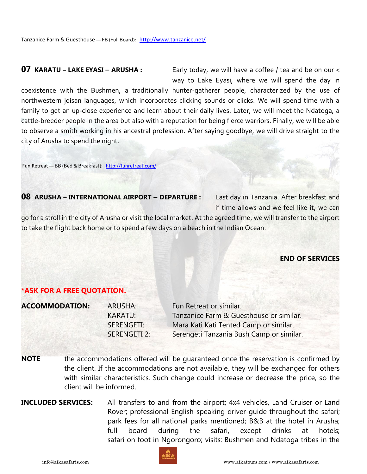**07** KARATU – LAKE EYASI – ARUSHA : Early today, we will have a coffee / tea and be on our < way to Lake Eyasi, where we will spend the day in

coexistence with the Bushmen, a traditionally hunter-gatherer people, characterized by the use of northwestern joisan languages, which incorporates clicking sounds or clicks. We will spend time with a family to get an up-close experience and learn about their daily lives. Later, we will meet the Ndatoga, a cattle-breeder people in the area but also with a reputation for being fierce warriors. Finally, we will be able to observe a smith working in his ancestral profession. After saying goodbye, we will drive straight to the city of Arusha to spend the night.

Fun Retreat — BB (Bed & Breakfast): <http://funretreat.com/>

#### **08** ARUSHA - **INTERNATIONAL AIRPORT - DEPARTURE** : Last day in Tanzania. After breakfast and

if time allows and we feel like it, we can

go for a stroll in the city of Arusha or visit the local market. At the agreed time, we will transfer to the airport to take the flight back home or to spend a few days on a beach in the Indian Ocean.

#### **END OF SERVICES**

#### **\*ASK FOR A FREE QUOTATION.**

| <b>ACCOMMODATION:</b> | ARUSHA:        | Fun Retreat or similar.                  |
|-----------------------|----------------|------------------------------------------|
|                       | <b>KARATU:</b> | Tanzanice Farm & Guesthouse or similar.  |
|                       | SERENGETI:     | Mara Kati Kati Tented Camp or similar.   |
|                       | SERENGETI 2:   | Serengeti Tanzania Bush Camp or similar. |
|                       |                |                                          |

- **NOTE** the accommodations offered will be quaranteed once the reservation is confirmed by the client. If the accommodations are not available, they will be exchanged for others with similar characteristics. Such change could increase or decrease the price, so the client will be informed.
- **INCLUDED SERVICES:** All transfers to and from the airport; 4x4 vehicles, Land Cruiser or Land Rover; professional English-speaking driver-guide throughout the safari; park fees for all national parks mentioned; B&B at the hotel in Arusha; full board during the safari, except drinks at hotels; safari on foot in Ngorongoro; visits: Bushmen and Ndatoga tribes in the